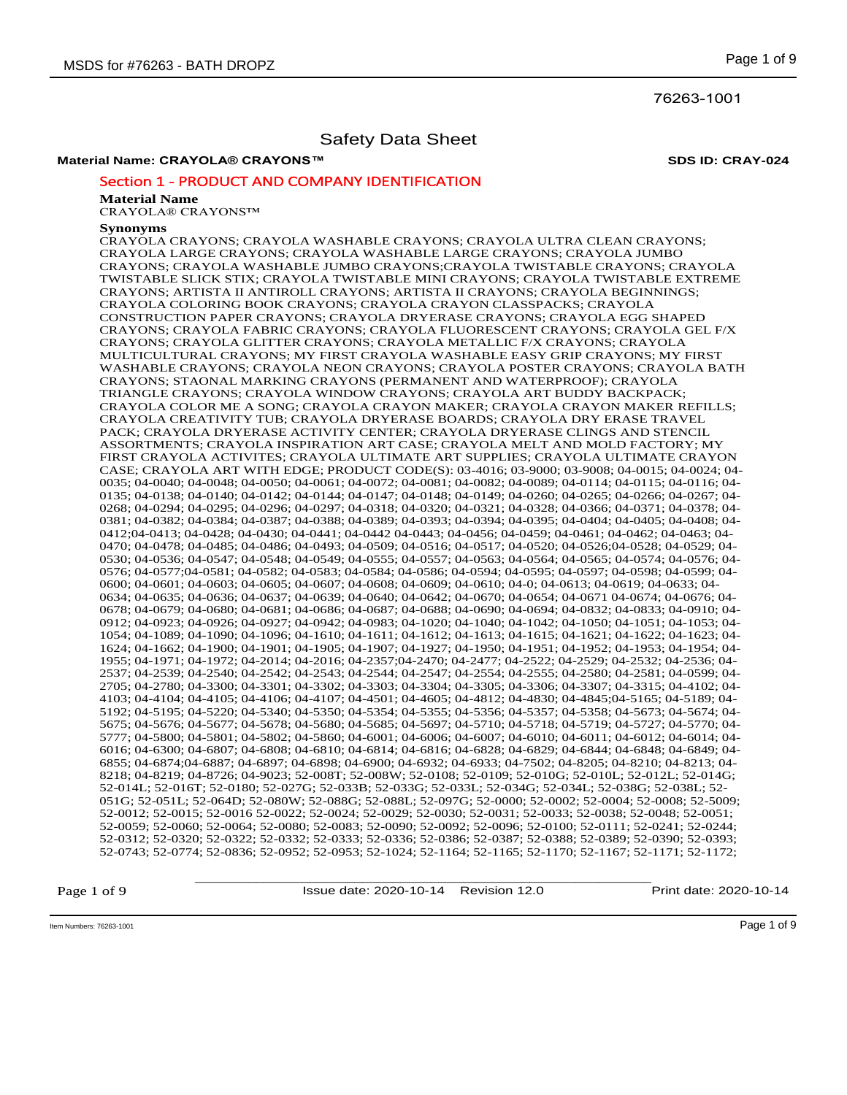76263-1001

# Safety Data Sheet

# **Material Name: CRAYOLA® CRAYONS™ SDS ID: CRAY-024**

# Section 1 - PRODUCT AND COMPANY IDENTIFICATION

#### **Material Name**

CRAYOLA® CRAYONS™

# **Synonyms**

CRAYOLA CRAYONS; CRAYOLA WASHABLE CRAYONS; CRAYOLA ULTRA CLEAN CRAYONS; CRAYOLA LARGE CRAYONS; CRAYOLA WASHABLE LARGE CRAYONS; CRAYOLA JUMBO CRAYONS; CRAYOLA WASHABLE JUMBO CRAYONS;CRAYOLA TWISTABLE CRAYONS; CRAYOLA TWISTABLE SLICK STIX; CRAYOLA TWISTABLE MINI CRAYONS; CRAYOLA TWISTABLE EXTREME CRAYONS; ARTISTA II ANTIROLL CRAYONS; ARTISTA II CRAYONS; CRAYOLA BEGINNINGS; CRAYOLA COLORING BOOK CRAYONS; CRAYOLA CRAYON CLASSPACKS; CRAYOLA CONSTRUCTION PAPER CRAYONS; CRAYOLA DRYERASE CRAYONS; CRAYOLA EGG SHAPED CRAYONS; CRAYOLA FABRIC CRAYONS; CRAYOLA FLUORESCENT CRAYONS; CRAYOLA GEL F/X CRAYONS; CRAYOLA GLITTER CRAYONS; CRAYOLA METALLIC F/X CRAYONS; CRAYOLA MULTICULTURAL CRAYONS; MY FIRST CRAYOLA WASHABLE EASY GRIP CRAYONS; MY FIRST WASHABLE CRAYONS; CRAYOLA NEON CRAYONS; CRAYOLA POSTER CRAYONS; CRAYOLA BATH CRAYONS; STAONAL MARKING CRAYONS (PERMANENT AND WATERPROOF); CRAYOLA TRIANGLE CRAYONS; CRAYOLA WINDOW CRAYONS; CRAYOLA ART BUDDY BACKPACK; CRAYOLA COLOR ME A SONG; CRAYOLA CRAYON MAKER; CRAYOLA CRAYON MAKER REFILLS; CRAYOLA CREATIVITY TUB; CRAYOLA DRYERASE BOARDS; CRAYOLA DRY ERASE TRAVEL PACK; CRAYOLA DRYERASE ACTIVITY CENTER; CRAYOLA DRYERASE CLINGS AND STENCIL ASSORTMENTS; CRAYOLA INSPIRATION ART CASE; CRAYOLA MELT AND MOLD FACTORY; MY FIRST CRAYOLA ACTIVITES; CRAYOLA ULTIMATE ART SUPPLIES; CRAYOLA ULTIMATE CRAYON CASE; CRAYOLA ART WITH EDGE; PRODUCT CODE(S): 03-4016; 03-9000; 03-9008; 04-0015; 04-0024; 04- 0035; 04-0040; 04-0048; 04-0050; 04-0061; 04-0072; 04-0081; 04-0082; 04-0089; 04-0114; 04-0115; 04-0116; 04- 0135; 04-0138; 04-0140; 04-0142; 04-0144; 04-0147; 04-0148; 04-0149; 04-0260; 04-0265; 04-0266; 04-0267; 04- 0268; 04-0294; 04-0295; 04-0296; 04-0297; 04-0318; 04-0320; 04-0321; 04-0328; 04-0366; 04-0371; 04-0378; 04- 0381; 04-0382; 04-0384; 04-0387; 04-0388; 04-0389; 04-0393; 04-0394; 04-0395; 04-0404; 04-0405; 04-0408; 04- 0412;04-0413; 04-0428; 04-0430; 04-0441; 04-0442 04-0443; 04-0456; 04-0459; 04-0461; 04-0462; 04-0463; 04- 0470; 04-0478; 04-0485; 04-0486; 04-0493; 04-0509; 04-0516; 04-0517; 04-0520; 04-0526;04-0528; 04-0529; 04- 0530; 04-0536; 04-0547; 04-0548; 04-0549; 04-0555; 04-0557; 04-0563; 04-0564; 04-0565; 04-0574; 04-0576; 04- 0576; 04-0577;04-0581; 04-0582; 04-0583; 04-0584; 04-0586; 04-0594; 04-0595; 04-0597; 04-0598; 04-0599; 04- 0600; 04-0601; 04-0603; 04-0605; 04-0607; 04-0608; 04-0609; 04-0610; 04-0613; 04-0619; 04-0633; 04-0633; 04-0 0634; 04-0635; 04-0636; 04-0637; 04-0639; 04-0640; 04-0642; 04-0670; 04-0654; 04-0671 04-0674; 04-0676; 04- 0678; 04-0679; 04-0680; 04-0681; 04-0686; 04-0687; 04-0688; 04-0690; 04-0694; 04-0832; 04-0833; 04-0910; 04- 0912; 04-0923; 04-0926; 04-0927; 04-0942; 04-0983; 04-1020; 04-1040; 04-1042; 04-1050; 04-1051; 04-1053; 04- 1054; 04-1089; 04-1090; 04-1096; 04-1610; 04-1611; 04-1612; 04-1613; 04-1615; 04-1621; 04-1622; 04-1623; 04- 1624; 04-1662; 04-1900; 04-1901; 04-1905; 04-1907; 04-1927; 04-1950; 04-1951; 04-1952; 04-1953; 04-1954; 04- 1955; 04-1971; 04-1972; 04-2014; 04-2016; 04-2357;04-2470; 04-2477; 04-2522; 04-2529; 04-2532; 04-2536; 04- 2537; 04-2539; 04-2540; 04-2542; 04-2543; 04-2544; 04-2547; 04-2554; 04-2555; 04-2580; 04-2581; 04-0599; 04- 2705; 04-2780; 04-3300; 04-3301; 04-3302; 04-3303; 04-3304; 04-3305; 04-3306; 04-3307; 04-3315; 04-4102; 04- 4103; 04-4104; 04-4105; 04-4106; 04-4107; 04-4501; 04-4605; 04-4812; 04-4830; 04-4845;04-5165; 04-5189; 04- 5192; 04-5195; 04-5220; 04-5340; 04-5350; 04-5354; 04-5355; 04-5356; 04-5357; 04-5358; 04-5673; 04-5674; 04- 5675; 04-5676; 04-5677; 04-5678; 04-5680; 04-5685; 04-5697; 04-5710; 04-5718; 04-5719; 04-5727; 04-5770; 04- 5777; 04-5800; 04-5801; 04-5802; 04-5860; 04-6001; 04-6006; 04-6007; 04-6010; 04-6011; 04-6012; 04-6014; 04- 6016; 04-6300; 04-6807; 04-6808; 04-6810; 04-6814; 04-6816; 04-6828; 04-6829; 04-6844; 04-6848; 04-6849; 04- 6855; 04-6874;04-6887; 04-6897; 04-6898; 04-6900; 04-6932; 04-6933; 04-7502; 04-8205; 04-8210; 04-8213; 04- 8218; 04-8219; 04-8726; 04-9023; 52-008T; 52-008W; 52-0108; 52-0109; 52-010G; 52-010L; 52-012L; 52-014G; 52-014L; 52-016T; 52-0180; 52-027G; 52-033B; 52-033G; 52-033L; 52-034G; 52-034L; 52-038G; 52-038L; 52- 051G; 52-051L; 52-064D; 52-080W; 52-088G; 52-088L; 52-097G; 52-0000; 52-0002; 52-0004; 52-0008; 52-5009; 52-0012; 52-0015; 52-0016 52-0022; 52-0024; 52-0029; 52-0030; 52-0031; 52-0033; 52-0038; 52-0048; 52-0051; 52-0059; 52-0060; 52-0064; 52-0080; 52-0083; 52-0090; 52-0092; 52-0096; 52-0100; 52-0111; 52-0241; 52-0244; 52-0312; 52-0320; 52-0322; 52-0332; 52-0333; 52-0336; 52-0386; 52-0387; 52-0388; 52-0389; 52-0390; 52-0393; 52-0743; 52-0774; 52-0836; 52-0952; 52-0953; 52-1024; 52-1164; 52-1165; 52-1170; 52-1167; 52-1171; 52-1172;

Page 1 of 9

\_\_\_\_\_\_\_\_\_\_\_\_\_\_\_\_\_\_\_\_\_\_\_\_\_\_\_\_\_\_\_\_\_\_\_\_\_\_\_\_\_\_\_\_\_\_\_\_\_\_\_\_\_\_\_\_\_\_\_\_ Issue date: 2020-10-14 Revision 12.0 Print date: 2020-10-14

Item Numbers: 76263-1001 Page 1 of 9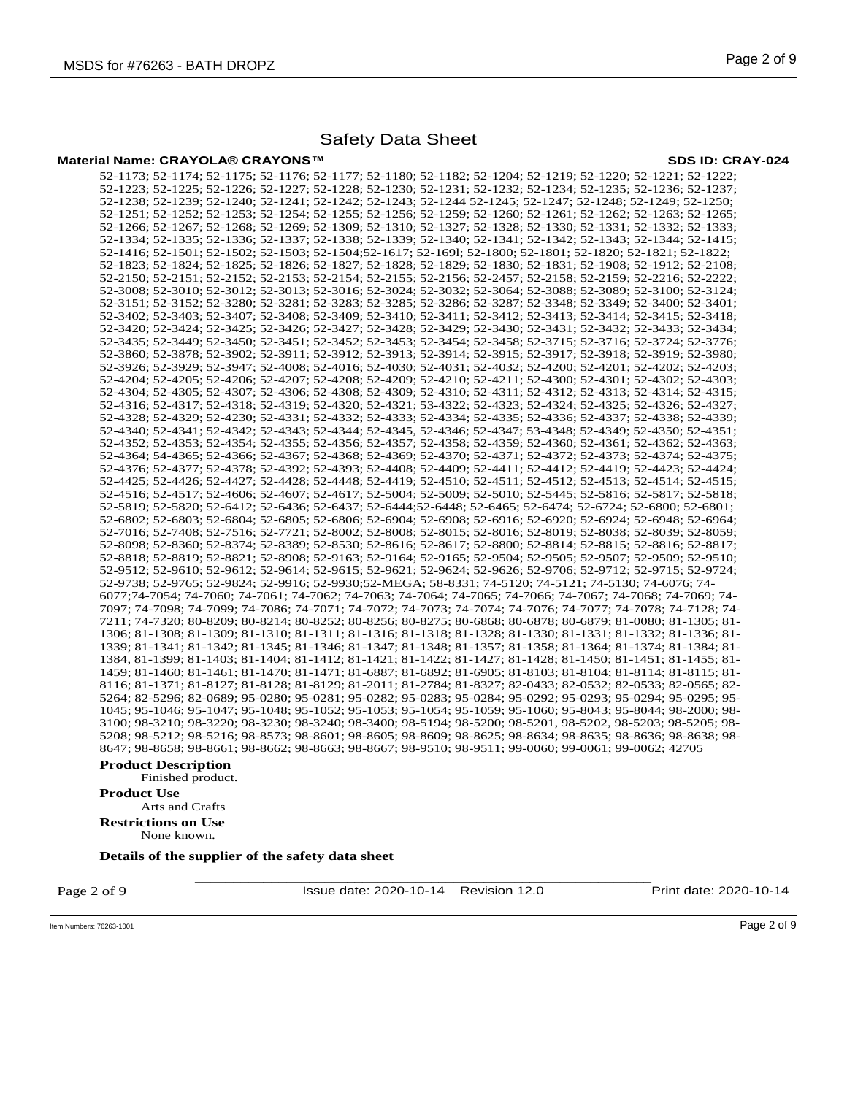# **Material Name: CRAYOLA® CRAYONS™ SDS ID: CRAY-024**

52-1173; 52-1174; 52-1175; 52-1176; 52-1177; 52-1180; 52-1182; 52-1204; 52-1219; 52-1220; 52-1221; 52-1222; 52-1223; 52-1225; 52-1226; 52-1227; 52-1228; 52-1230; 52-1231; 52-1232; 52-1234; 52-1235; 52-1236; 52-1237; 52-1238; 52-1239; 52-1240; 52-1241; 52-1242; 52-1243; 52-1244 52-1245; 52-1247; 52-1248; 52-1249; 52-1250; 52-1251; 52-1252; 52-1253; 52-1254; 52-1255; 52-1256; 52-1259; 52-1260; 52-1261; 52-1262; 52-1263; 52-1265; 52-1266; 52-1267; 52-1268; 52-1269; 52-1309; 52-1310; 52-1327; 52-1328; 52-1330; 52-1331; 52-1332; 52-1333; 52-1334; 52-1335; 52-1336; 52-1337; 52-1338; 52-1339; 52-1340; 52-1341; 52-1342; 52-1343; 52-1344; 52-1415; 52-1416; 52-1501; 52-1502; 52-1503; 52-1504;52-1617; 52-169l; 52-1800; 52-1801; 52-1820; 52-1821; 52-1822; 52-1823; 52-1824; 52-1825; 52-1826; 52-1827; 52-1828; 52-1829; 52-1830; 52-1831; 52-1908; 52-1912; 52-2108; 52-2150; 52-2151; 52-2152; 52-2153; 52-2154; 52-2155; 52-2156; 52-2457; 52-2158; 52-2159; 52-2216; 52-2222; 52-3008; 52-3010; 52-3012; 52-3013; 52-3016; 52-3024; 52-3032; 52-3064; 52-3088; 52-3089; 52-3100; 52-3124; 52-3151; 52-3152; 52-3280; 52-3281; 52-3283; 52-3285; 52-3286; 52-3287; 52-3348; 52-3349; 52-3400; 52-3401; 52-3402; 52-3403; 52-3407; 52-3408; 52-3409; 52-3410; 52-3411; 52-3412; 52-3413; 52-3414; 52-3415; 52-3418; 52-3420; 52-3424; 52-3425; 52-3426; 52-3427; 52-3428; 52-3429; 52-3430; 52-3431; 52-3432; 52-3433; 52-3434; 52-3435; 52-3449; 52-3450; 52-3451; 52-3452; 52-3453; 52-3454; 52-3458; 52-3715; 52-3716; 52-3724; 52-3776; 52-3860; 52-3878; 52-3902; 52-3911; 52-3912; 52-3913; 52-3914; 52-3915; 52-3917; 52-3918; 52-3919; 52-3980; 52-3926; 52-3929; 52-3947; 52-4008; 52-4016; 52-4030; 52-4031; 52-4032; 52-4200; 52-4201; 52-4202; 52-4203; 52-4204; 52-4205; 52-4206; 52-4207; 52-4208; 52-4209; 52-4210; 52-4211; 52-4300; 52-4301; 52-4302; 52-4303; 52-4304; 52-4305; 52-4307; 52-4306; 52-4308; 52-4309; 52-4310; 52-4311; 52-4312; 52-4313; 52-4314; 52-4315; 52-4316; 52-4317; 52-4318; 52-4319; 52-4320; 52-4321; 53-4322; 52-4323; 52-4324; 52-4325; 52-4326; 52-4327; 52-4328; 52-4329; 52-4230; 52-4331; 52-4332; 52-4333; 52-4334; 52-4335; 52-4336; 52-4337; 52-4338; 52-4339; 52-4340; 52-4341; 52-4342; 52-4343; 52-4344; 52-4345, 52-4346; 52-4347; 53-4348; 52-4349; 52-4350; 52-4351; 52-4352; 52-4353; 52-4354; 52-4355; 52-4356; 52-4357; 52-4358; 52-4359; 52-4360; 52-4361; 52-4362; 52-4363; 52-4364; 54-4365; 52-4366; 52-4367; 52-4368; 52-4369; 52-4370; 52-4371; 52-4372; 52-4373; 52-4374; 52-4375; 52-4376; 52-4377; 52-4378; 52-4392; 52-4393; 52-4408; 52-4409; 52-4411; 52-4412; 52-4419; 52-4423; 52-4424; 52-4425; 52-4426; 52-4427; 52-4428; 52-4448; 52-4419; 52-4510; 52-4511; 52-4512; 52-4513; 52-4514; 52-4515; 52-4516; 52-4517; 52-4606; 52-4607; 52-4617; 52-5004; 52-5009; 52-5010; 52-5445; 52-5816; 52-5817; 52-5818; 52-5819; 52-5820; 52-6412; 52-6436; 52-6437; 52-6444;52-6448; 52-6465; 52-6474; 52-6724; 52-6800; 52-6801; 52-6802; 52-6803; 52-6804; 52-6805; 52-6806; 52-6904; 52-6908; 52-6916; 52-6920; 52-6924; 52-6948; 52-6964; 52-7016; 52-7408; 52-7516; 52-7721; 52-8002; 52-8008; 52-8015; 52-8016; 52-8019; 52-8038; 52-8039; 52-8059; 52-8098; 52-8360; 52-8374; 52-8389; 52-8530; 52-8616; 52-8617; 52-8800; 52-8814; 52-8815; 52-8816; 52-8817; 52-8818; 52-8819; 52-8821; 52-8908; 52-9163; 52-9164; 52-9165; 52-9504; 52-9505; 52-9507; 52-9509; 52-9510; 52-9512; 52-9610; 52-9612; 52-9614; 52-9615; 52-9621; 52-9624; 52-9626; 52-9706; 52-9712; 52-9715; 52-9724; 52-9738; 52-9765; 52-9824; 52-9916; 52-9930;52-MEGA; 58-8331; 74-5120; 74-5121; 74-5130; 74-6076; 74- 6077;74-7054; 74-7060; 74-7061; 74-7062; 74-7063; 74-7064; 74-7065; 74-7066; 74-7067; 74-7068; 74-7069; 74- 7097; 74-7098; 74-7099; 74-7086; 74-7071; 74-7072; 74-7073; 74-7074; 74-7076; 74-7077; 74-7078; 74-7128; 74- 7211; 74-7320; 80-8209; 80-8214; 80-8252; 80-8256; 80-8275; 80-6868; 80-6878; 80-6879; 81-0080; 81-1305; 81- 1306; 81-1308; 81-1309; 81-1310; 81-1311; 81-1316; 81-1318; 81-1328; 81-1330; 81-1331; 81-1332; 81-1336; 81- 1339; 81-1341; 81-1342; 81-1345; 81-1346; 81-1347; 81-1348; 81-1357; 81-1358; 81-1364; 81-1374; 81-1384; 81- 1384, 81-1399; 81-1403; 81-1404; 81-1412; 81-1421; 81-1422; 81-1427; 81-1428; 81-1450; 81-1451; 81-1455; 81- 1459; 81-1460; 81-1461; 81-1470; 81-1471; 81-6887; 81-6892; 81-6905; 81-8103; 81-8104; 81-8114; 81-8115; 81- 8116; 81-1371; 81-8127; 81-8128; 81-8129; 81-2011; 81-2784; 81-8327; 82-0433; 82-0532; 82-0533; 82-0565; 82- 5264; 82-5296; 82-0689; 95-0280; 95-0281; 95-0282; 95-0283; 95-0284; 95-0292; 95-0293; 95-0294; 95-0295; 95- 1045; 95-1046; 95-1047; 95-1048; 95-1052; 95-1053; 95-1054; 95-1059; 95-1060; 95-8043; 95-8044; 98-2000; 98- 3100; 98-3210; 98-3220; 98-3230; 98-3240; 98-3400; 98-5194; 98-5200; 98-5201, 98-5202, 98-5203; 98-5205; 98- 5208; 98-5212; 98-5216; 98-8573; 98-8601; 98-8605; 98-8609; 98-8625; 98-8634; 98-8635; 98-8636; 98-8638; 98- 8647; 98-8658; 98-8661; 98-8662; 98-8663; 98-8667; 98-9510; 98-9511; 99-0060; 99-0061; 99-0062; 42705

## **Product Description**

Finished product.

# **Product Use**

Arts and Crafts

**Restrictions on Use** None known.

**Details of the supplier of the safety data sheet**

Page 2 of 9

\_\_\_\_\_\_\_\_\_\_\_\_\_\_\_\_\_\_\_\_\_\_\_\_\_\_\_\_\_\_\_\_\_\_\_\_\_\_\_\_\_\_\_\_\_\_\_\_\_\_\_\_\_\_\_\_\_\_\_\_ Issue date: 2020-10-14 Revision 12.0 Print date: 2020-10-14

Item Numbers: 76263-1001 Page 2 of 9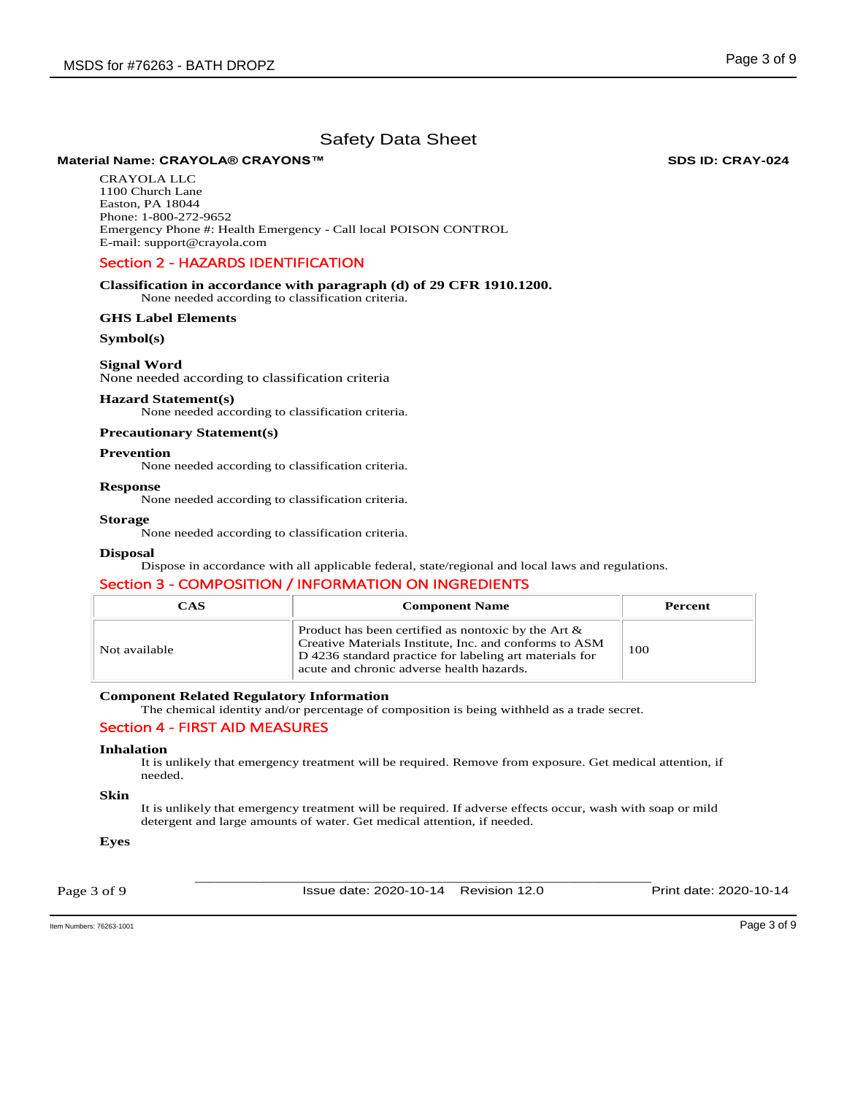# **Material Name: CRAYOLA® CRAYONS™ SDS ID: CRAY-024**

CRAYOLA LLC 1100 Church Lane Easton, PA 18044 Phone: 1-800-272-9652 Emergency Phone #: Health Emergency - Call local POISON CONTROL E-mail: support@crayola.com

# Section 2 - HAZARDS IDENTIFICATION

#### **Classification in accordance with paragraph (d) of 29 CFR 1910.1200.**  None needed according to classification criteria.

## **GHS Label Elements**

## **Symbol(s)**

# **Signal Word**

None needed according to classification criteria

## **Hazard Statement(s)**

None needed according to classification criteria.

# **Precautionary Statement(s)**

# **Prevention**

None needed according to classification criteria.

# **Response**

None needed according to classification criteria.

#### **Storage**

None needed according to classification criteria.

## **Disposal**

Dispose in accordance with all applicable federal, state/regional and local laws and regulations.

# Section 3 - COMPOSITION / INFORMATION ON INGREDIENTS

| CAS           | <b>Component Name</b>                                                                                                                                                                                                    | Percent |
|---------------|--------------------------------------------------------------------------------------------------------------------------------------------------------------------------------------------------------------------------|---------|
| Not available | Product has been certified as nontoxic by the Art $\&$<br>Creative Materials Institute, Inc. and conforms to ASM<br>D 4236 standard practice for labeling art materials for<br>acute and chronic adverse health hazards. | 100     |

# **Component Related Regulatory Information**

The chemical identity and/or percentage of composition is being withheld as a trade secret.

# Section 4 - FIRST AID MEASURES

#### **Inhalation**

It is unlikely that emergency treatment will be required. Remove from exposure. Get medical attention, if needed.

## **Skin**

It is unlikely that emergency treatment will be required. If adverse effects occur, wash with soap or mild detergent and large amounts of water. Get medical attention, if needed.

## **Eyes**

Page 3 of 9

\_\_\_\_\_\_\_\_\_\_\_\_\_\_\_\_\_\_\_\_\_\_\_\_\_\_\_\_\_\_\_\_\_\_\_\_\_\_\_\_\_\_\_\_\_\_\_\_\_\_\_\_\_\_\_\_\_\_\_\_ Issue date: 2020-10-14 Revision 12.0 Print date: 2020-10-14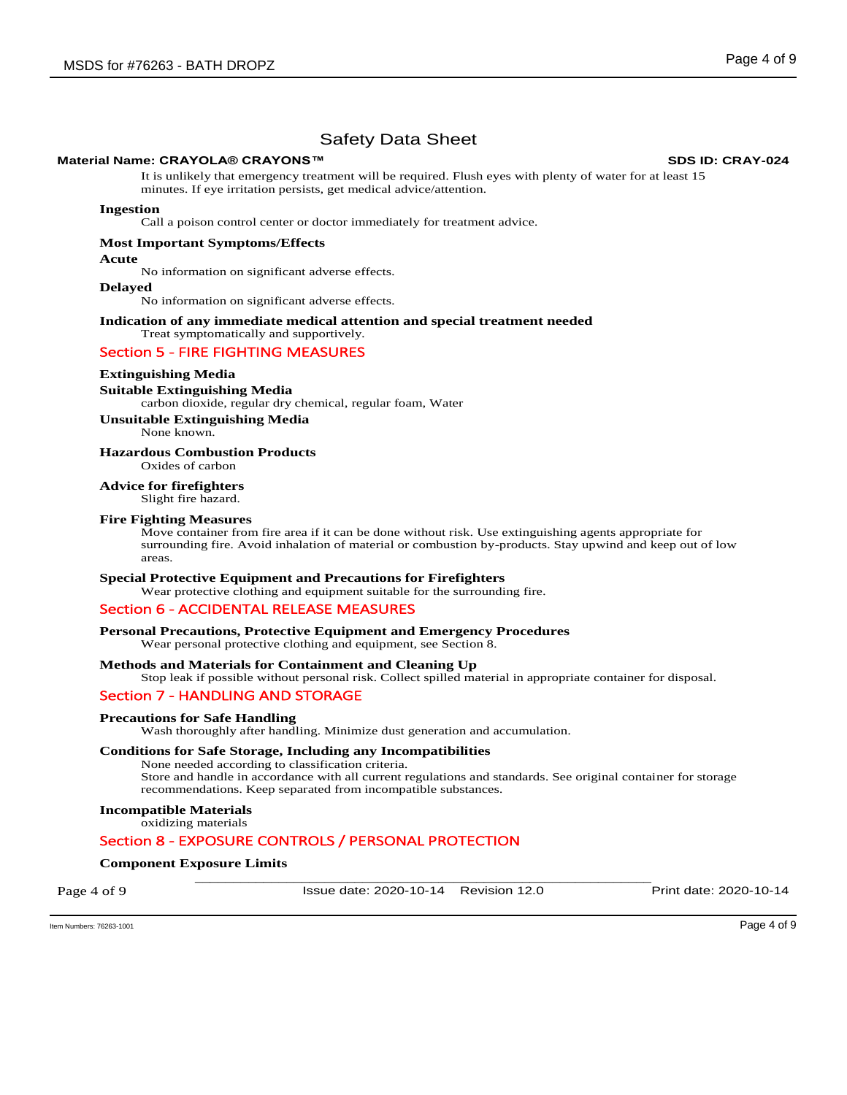# **Material Name: CRAYOLA® CRAYONS™ SDS ID: CRAY-024**

It is unlikely that emergency treatment will be required. Flush eyes with plenty of water for at least 15 minutes. If eye irritation persists, get medical advice/attention.

#### **Ingestion**

Call a poison control center or doctor immediately for treatment advice.

#### **Most Important Symptoms/Effects**

**Acute** 

No information on significant adverse effects.

**Delayed** 

No information on significant adverse effects.

#### **Indication of any immediate medical attention and special treatment needed**  Treat symptomatically and supportively.

# Section 5 - FIRE FIGHTING MEASURES

#### **Extinguishing Media**

#### **Suitable Extinguishing Media**

carbon dioxide, regular dry chemical, regular foam, Water

### **Unsuitable Extinguishing Media**

None known.

## **Hazardous Combustion Products**

Oxides of carbon

# **Advice for firefighters**

Slight fire hazard.

## **Fire Fighting Measures**

Move container from fire area if it can be done without risk. Use extinguishing agents appropriate for surrounding fire. Avoid inhalation of material or combustion by-products. Stay upwind and keep out of low areas.

#### **Special Protective Equipment and Precautions for Firefighters**

Wear protective clothing and equipment suitable for the surrounding fire.

# Section 6 - ACCIDENTAL RELEASE MEASURES

#### **Personal Precautions, Protective Equipment and Emergency Procedures**

Wear personal protective clothing and equipment, see Section 8.

#### **Methods and Materials for Containment and Cleaning Up**

Stop leak if possible without personal risk. Collect spilled material in appropriate container for disposal.

# Section 7 - HANDLING AND STORAGE

#### **Precautions for Safe Handling**

Wash thoroughly after handling. Minimize dust generation and accumulation.

## **Conditions for Safe Storage, Including any Incompatibilities**

None needed according to classification criteria. Store and handle in accordance with all current regulations and standards. See original container for storage recommendations. Keep separated from incompatible substances.

## **Incompatible Materials**

oxidizing materials

# Section 8 - EXPOSURE CONTROLS / PERSONAL PROTECTION

# \_\_\_\_\_\_\_\_\_\_\_\_\_\_\_\_\_\_\_\_\_\_\_\_\_\_\_\_\_\_\_\_\_\_\_\_\_\_\_\_\_\_\_\_\_\_\_\_\_\_\_\_\_\_\_\_\_\_\_\_ **Component Exposure Limits**

Page 4 of 9

Issue date: 2020-10-14 Revision 12.0 Print date: 2020-10-14

Item Numbers: 76263-1001 Page 4 of 9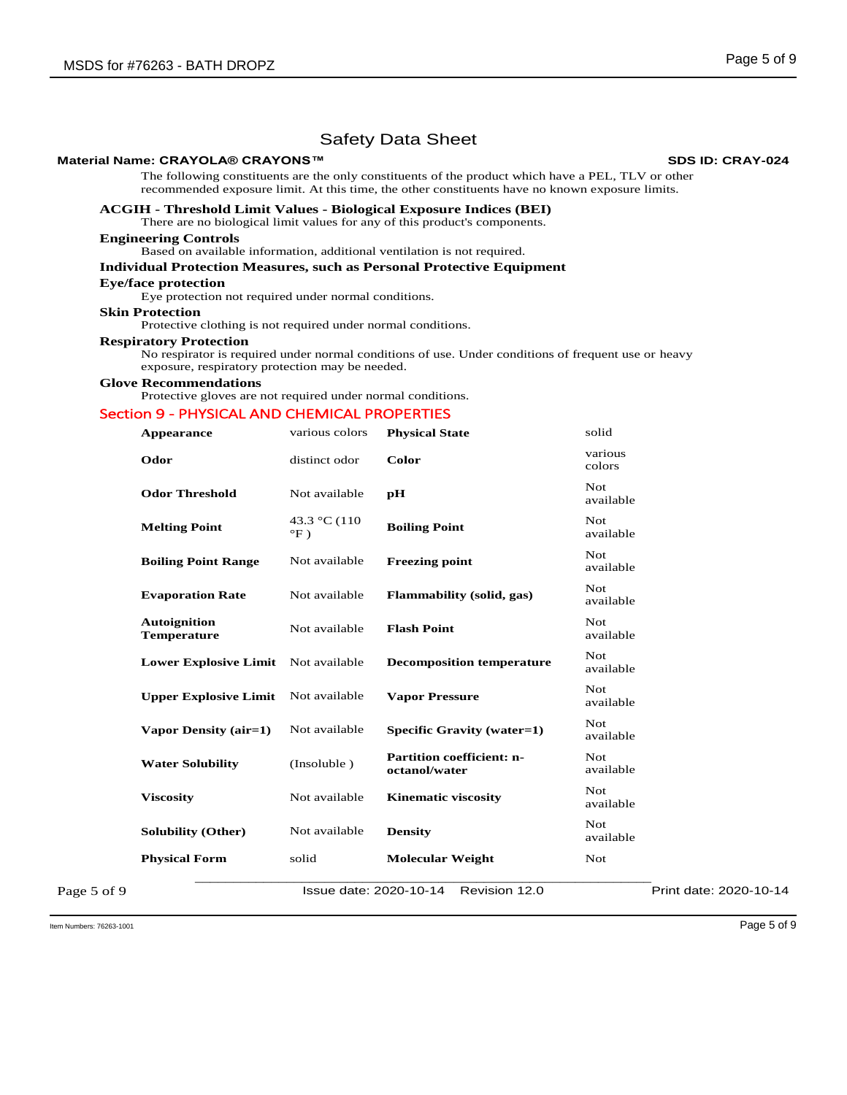# **Material Name: CRAYOLA® CRAYONS™ SDS ID: CRAY-024**

The following constituents are the only constituents of the product which have a PEL, TLV or other recommended exposure limit. At this time, the other constituents have no known exposure limits.

#### **ACGIH - Threshold Limit Values - Biological Exposure Indices (BEI)**

There are no biological limit values for any of this product's components.

# **Engineering Controls**

Based on available information, additional ventilation is not required.

# **Individual Protection Measures, such as Personal Protective Equipment**

**Eye/face protection** 

Eye protection not required under normal conditions.

## **Skin Protection**

Protective clothing is not required under normal conditions.

#### **Respiratory Protection**

No respirator is required under normal conditions of use. Under conditions of frequent use or heavy exposure, respiratory protection may be needed.

#### **Glove Recommendations**

Protective gloves are not required under normal conditions.

# Section 9 - PHYSICAL AND CHEMICAL PROPERTIES

| various colors                         | <b>Physical State</b>                             | solid                   |
|----------------------------------------|---------------------------------------------------|-------------------------|
| distinct odor                          | Color                                             | various<br>colors       |
| Not available                          | pH                                                | <b>Not</b><br>available |
| 43.3 °C (110<br>$\mathrm{^{\circ}F}$ ) | <b>Boiling Point</b>                              | Not<br>available        |
| Not available                          | <b>Freezing point</b>                             | Not<br>available        |
| Not available                          | <b>Flammability</b> (solid, gas)                  | Not<br>available        |
| Not available                          | <b>Flash Point</b>                                | <b>Not</b><br>available |
|                                        | <b>Decomposition temperature</b>                  | Not<br>available        |
| Not available                          | <b>Vapor Pressure</b>                             | Not<br>available        |
| Not available                          | <b>Specific Gravity (water=1)</b>                 | Not<br>available        |
| (Insoluble)                            | <b>Partition coefficient: n-</b><br>octanol/water | Not<br>available        |
| Not available                          | <b>Kinematic viscosity</b>                        | <b>Not</b><br>available |
| Not available                          | <b>Density</b>                                    | Not<br>available        |
| solid                                  | <b>Molecular Weight</b>                           | Not                     |
|                                        | Revision 12.0                                     | Print date: 2020-10-14  |
| <b>Upper Explosive Limit</b>           | Lower Explosive Limit Not available               | Issue date: 2020-10-14  |

Item Numbers: 76263-1001 Page 5 of 9

Page 5 of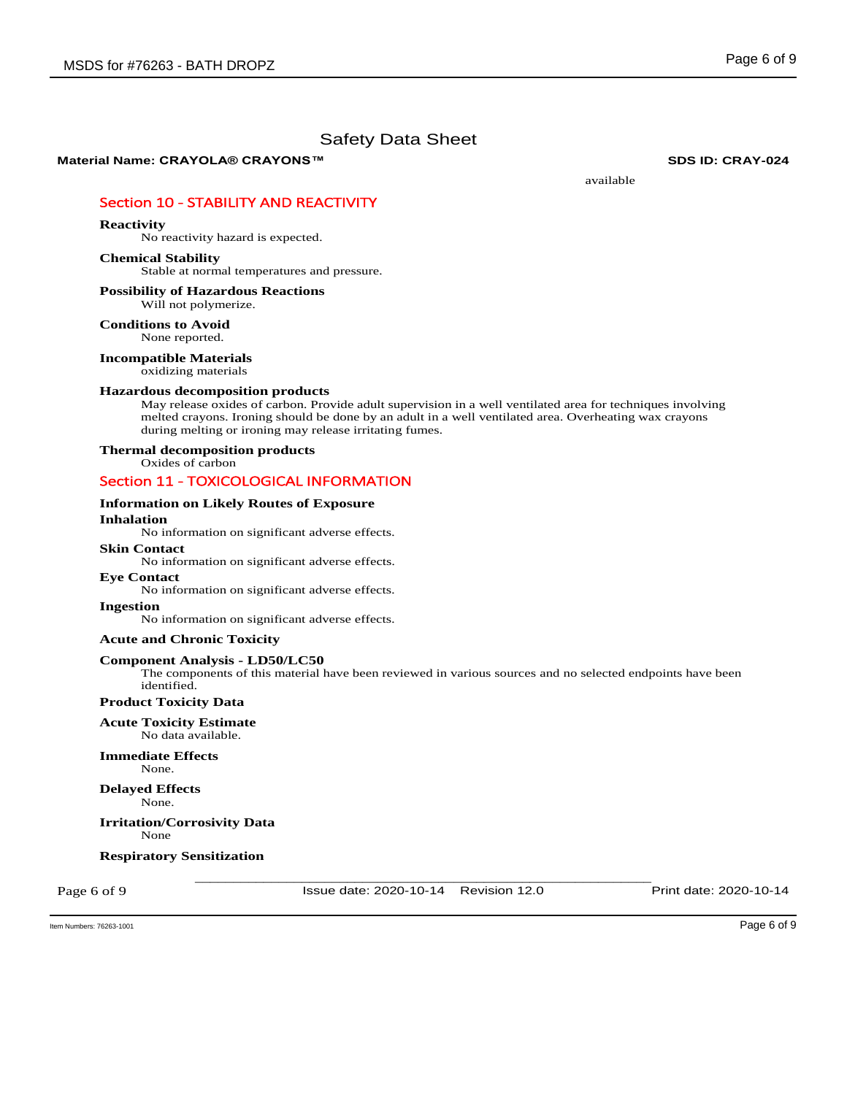**Material Name: CRAYOLA® CRAYONS™ SDS ID: CRAY-024**

available

# Section 10 - STABILITY AND REACTIVITY

### **Reactivity**

No reactivity hazard is expected.

# **Chemical Stability**

Stable at normal temperatures and pressure.

## **Possibility of Hazardous Reactions** Will not polymerize.

**Conditions to Avoid**

None reported.

# **Incompatible Materials**

oxidizing materials

#### **Hazardous decomposition products**

May release oxides of carbon. Provide adult supervision in a well ventilated area for techniques involving melted crayons. Ironing should be done by an adult in a well ventilated area. Overheating wax crayons during melting or ironing may release irritating fumes.

# **Thermal decomposition products**

Oxides of carbon

# Section 11 - TOXICOLOGICAL INFORMATION

#### **Information on Likely Routes of Exposure**

## **Inhalation**

No information on significant adverse effects.

## **Skin Contact**

No information on significant adverse effects.

#### **Eye Contact**

No information on significant adverse effects.

**Ingestion** 

No information on significant adverse effects.

## **Acute and Chronic Toxicity**

#### **Component Analysis - LD50/LC50**

The components of this material have been reviewed in various sources and no selected endpoints have been identified.

**Product Toxicity Data** 

## **Acute Toxicity Estimate**

No data available.

#### **Immediate Effects**  None.

**Delayed Effects** 

None.

#### **Irritation/Corrosivity Data**  None

### **Respiratory Sensitization**

Page 6 of 9

\_\_\_\_\_\_\_\_\_\_\_\_\_\_\_\_\_\_\_\_\_\_\_\_\_\_\_\_\_\_\_\_\_\_\_\_\_\_\_\_\_\_\_\_\_\_\_\_\_\_\_\_\_\_\_\_\_\_\_\_ Issue date: 2020-10-14 Revision 12.0 Print date: 2020-10-14

Item Numbers: 76263-1001 Page 6 of 9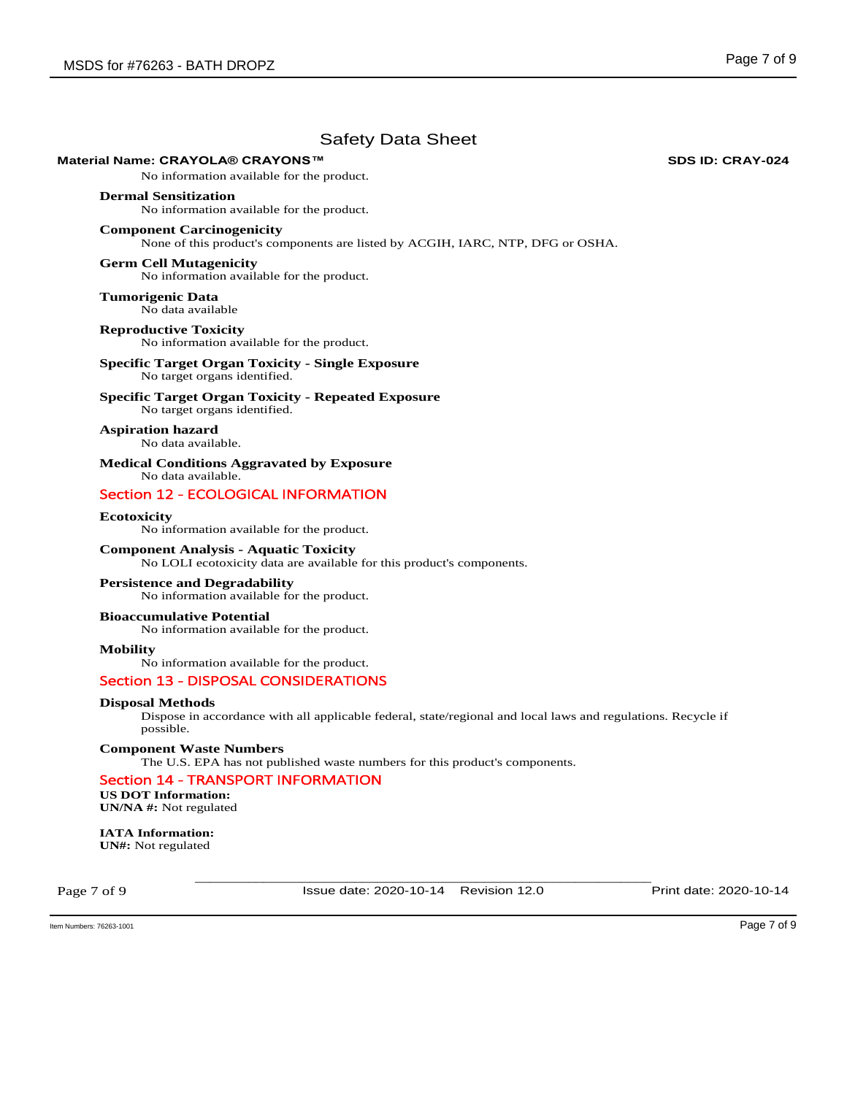# **Material Name: CRAYOLA® CRAYONS™ SDS ID: CRAY-024**

No information available for the product.

#### **Dermal Sensitization**

No information available for the product.

### **Component Carcinogenicity**

None of this product's components are listed by ACGIH, IARC, NTP, DFG or OSHA.

## **Germ Cell Mutagenicity**

No information available for the product.

**Tumorigenic Data**  No data available

**Reproductive Toxicity**  No information available for the product.

# **Specific Target Organ Toxicity - Single Exposure**  No target organs identified.

**Specific Target Organ Toxicity - Repeated Exposure**  No target organs identified.

**Aspiration hazard**  No data available.

**Medical Conditions Aggravated by Exposure** No data available.

# Section 12 - ECOLOGICAL INFORMATION

# **Ecotoxicity**

No information available for the product.

**Component Analysis - Aquatic Toxicity**  No LOLI ecotoxicity data are available for this product's components.

# **Persistence and Degradability**

No information available for the product.

## **Bioaccumulative Potential**

No information available for the product.

**Mobility** 

No information available for the product.

# Section 13 - DISPOSAL CONSIDERATIONS

# **Disposal Methods**

Dispose in accordance with all applicable federal, state/regional and local laws and regulations. Recycle if possible.

#### **Component Waste Numbers**

The U.S. EPA has not published waste numbers for this product's components.

# Section 14 - TRANSPORT INFORMATION

**US DOT Information: UN/NA #:** Not regulated

**IATA Information: UN#:** Not regulated

Page 7 of 9

\_\_\_\_\_\_\_\_\_\_\_\_\_\_\_\_\_\_\_\_\_\_\_\_\_\_\_\_\_\_\_\_\_\_\_\_\_\_\_\_\_\_\_\_\_\_\_\_\_\_\_\_\_\_\_\_\_\_\_\_ Issue date: 2020-10-14 Revision 12.0 Print date: 2020-10-14

Item Numbers: 76263-1001 Page 7 of 9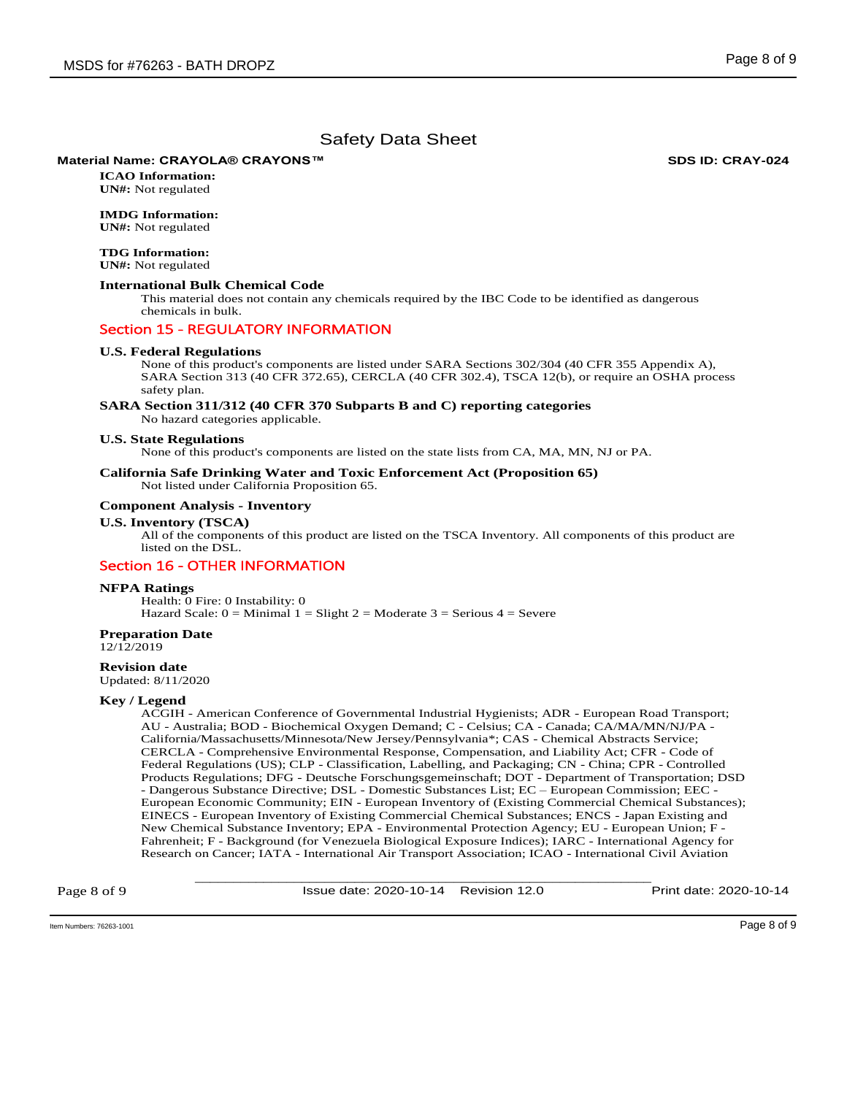# **Material Name: CRAYOLA® CRAYONS™ SDS ID: CRAY-024**

**ICAO Information: UN#:** Not regulated

# **IMDG Information:**

**UN#:** Not regulated

## **TDG Information:**

**UN#:** Not regulated

## **International Bulk Chemical Code**

This material does not contain any chemicals required by the IBC Code to be identified as dangerous chemicals in bulk.

## Section 15 - REGULATORY INFORMATION

#### **U.S. Federal Regulations**

None of this product's components are listed under SARA Sections 302/304 (40 CFR 355 Appendix A), SARA Section 313 (40 CFR 372.65), CERCLA (40 CFR 302.4), TSCA 12(b), or require an OSHA process safety plan.

#### **SARA Section 311/312 (40 CFR 370 Subparts B and C) reporting categories**

No hazard categories applicable.

#### **U.S. State Regulations**

None of this product's components are listed on the state lists from CA, MA, MN, NJ or PA.

#### **California Safe Drinking Water and Toxic Enforcement Act (Proposition 65)**  Not listed under California Proposition 65.

# **Component Analysis - Inventory**

# **U.S. Inventory (TSCA)**

All of the components of this product are listed on the TSCA Inventory. All components of this product are listed on the DSL.

# Section 16 - OTHER INFORMATION

#### **NFPA Ratings**

Health: 0 Fire: 0 Instability: 0 Hazard Scale:  $0 =$  Minimal  $1 =$  Slight  $2 =$  Moderate  $3 =$  Serious  $4 =$  Severe

#### **Preparation Date**

12/12/2019

### **Revision date**

Updated: 8/11/2020

### **Key / Legend**

ACGIH - American Conference of Governmental Industrial Hygienists; ADR - European Road Transport; AU - Australia; BOD - Biochemical Oxygen Demand; C - Celsius; CA - Canada; CA/MA/MN/NJ/PA - California/Massachusetts/Minnesota/New Jersey/Pennsylvania\*; CAS - Chemical Abstracts Service; CERCLA - Comprehensive Environmental Response, Compensation, and Liability Act; CFR - Code of Federal Regulations (US); CLP - Classification, Labelling, and Packaging; CN - China; CPR - Controlled Products Regulations; DFG - Deutsche Forschungsgemeinschaft; DOT - Department of Transportation; DSD - Dangerous Substance Directive; DSL - Domestic Substances List; EC – European Commission; EEC - European Economic Community; EIN - European Inventory of (Existing Commercial Chemical Substances); EINECS - European Inventory of Existing Commercial Chemical Substances; ENCS - Japan Existing and New Chemical Substance Inventory; EPA - Environmental Protection Agency; EU - European Union; F - Fahrenheit; F - Background (for Venezuela Biological Exposure Indices); IARC - International Agency for Research on Cancer; IATA - International Air Transport Association; ICAO - International Civil Aviation

Page 8 of 9

\_\_\_\_\_\_\_\_\_\_\_\_\_\_\_\_\_\_\_\_\_\_\_\_\_\_\_\_\_\_\_\_\_\_\_\_\_\_\_\_\_\_\_\_\_\_\_\_\_\_\_\_\_\_\_\_\_\_\_\_ Issue date: 2020-10-14 Revision 12.0 Print date: 2020-10-14